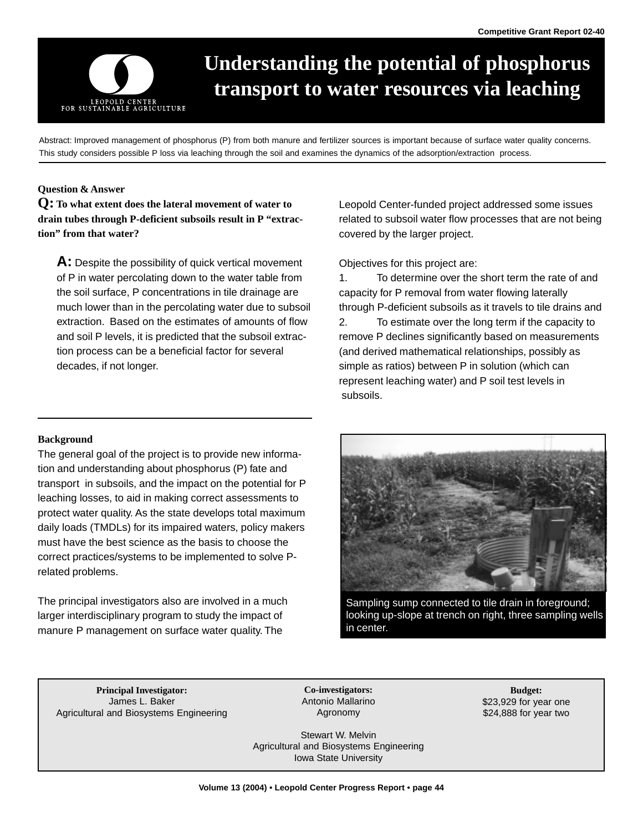

# **Understanding the potential of phosphorus transport to water resources via leaching**

Abstract: Improved management of phosphorus (P) from both manure and fertilizer sources is important because of surface water quality concerns. This study considers possible P loss via leaching through the soil and examines the dynamics of the adsorption/extraction process.

## **Question & Answer**

**Q: To what extent does the lateral movement of water to drain tubes through P-deficient subsoils result in P "extraction" from that water?** 

**A:** Despite the possibility of quick vertical movement of P in water percolating down to the water table from the soil surface, P concentrations in tile drainage are much lower than in the percolating water due to subsoil extraction. Based on the estimates of amounts of flow and soil P levels, it is predicted that the subsoil extraction process can be a beneficial factor for several decades, if not longer.

Leopold Center-funded project addressed some issues related to subsoil water flow processes that are not being covered by the larger project.

Objectives for this project are:

1. To determine over the short term the rate of and capacity for P removal from water flowing laterally through P-deficient subsoils as it travels to tile drains and 2. To estimate over the long term if the capacity to remove P declines significantly based on measurements (and derived mathematical relationships, possibly as simple as ratios) between P in solution (which can represent leaching water) and P soil test levels in subsoils.

#### **Background**

The general goal of the project is to provide new information and understanding about phosphorus (P) fate and transport in subsoils, and the impact on the potential for P leaching losses, to aid in making correct assessments to protect water quality. As the state develops total maximum daily loads (TMDLs) for its impaired waters, policy makers must have the best science as the basis to choose the correct practices/systems to be implemented to solve Prelated problems.

The principal investigators also are involved in a much larger interdisciplinary program to study the impact of manure P management on surface water quality. The



Sampling sump connected to tile drain in foreground; looking up-slope at trench on right, three sampling wells in center.

**Principal Investigator: Co-investigators: Budget:**  James L. Baker **Antonio Mallarino 1999** and the set of the set of the set of the set of the set of the set of the set of the set of the set of the set of the set of the set of the set of the set of the set of the set of th Agricultural and Biosystems Engineering **Agronomy** Agronomy **624,888** for year two

Stewart W. Melvin Agricultural and Biosystems Engineering Iowa State University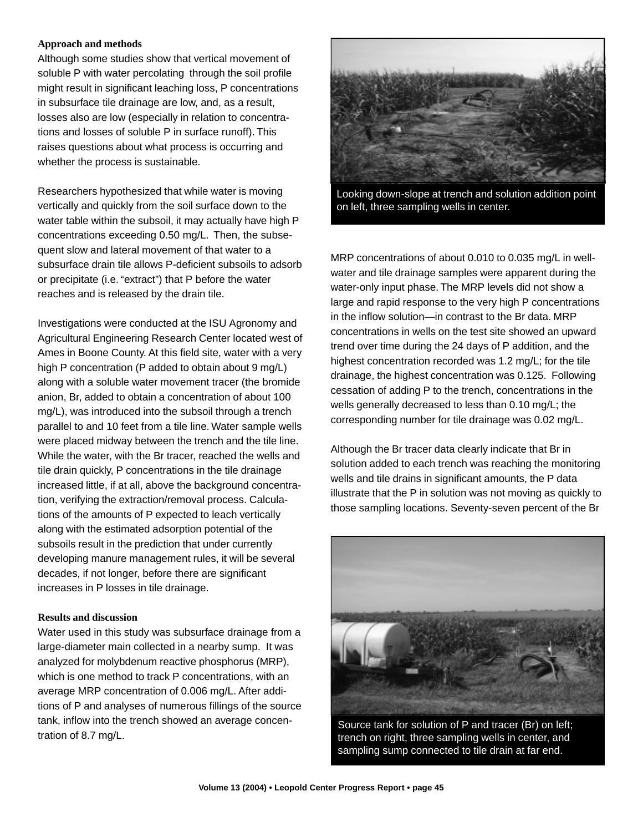## **Approach and methods**

Although some studies show that vertical movement of soluble P with water percolating through the soil profile might result in significant leaching loss, P concentrations in subsurface tile drainage are low, and, as a result, losses also are low (especially in relation to concentrations and losses of soluble P in surface runoff). This raises questions about what process is occurring and whether the process is sustainable.

Researchers hypothesized that while water is moving vertically and quickly from the soil surface down to the water table within the subsoil, it may actually have high P concentrations exceeding 0.50 mg/L. Then, the subsequent slow and lateral movement of that water to a subsurface drain tile allows P-deficient subsoils to adsorb or precipitate (i.e. "extract") that P before the water reaches and is released by the drain tile.

Investigations were conducted at the ISU Agronomy and Agricultural Engineering Research Center located west of Ames in Boone County. At this field site, water with a very high P concentration (P added to obtain about 9 mg/L) along with a soluble water movement tracer (the bromide anion, Br, added to obtain a concentration of about 100 mg/L), was introduced into the subsoil through a trench parallel to and 10 feet from a tile line. Water sample wells were placed midway between the trench and the tile line. While the water, with the Br tracer, reached the wells and tile drain quickly, P concentrations in the tile drainage increased little, if at all, above the background concentration, verifying the extraction/removal process. Calculations of the amounts of P expected to leach vertically along with the estimated adsorption potential of the subsoils result in the prediction that under currently developing manure management rules, it will be several decades, if not longer, before there are significant increases in P losses in tile drainage.

### **Results and discussion**

Water used in this study was subsurface drainage from a large-diameter main collected in a nearby sump. It was analyzed for molybdenum reactive phosphorus (MRP), which is one method to track P concentrations, with an average MRP concentration of 0.006 mg/L. After additions of P and analyses of numerous fillings of the source tank, inflow into the trench showed an average concentration of 8.7 mg/L.



Looking down-slope at trench and solution addition point on left, three sampling wells in center.

MRP concentrations of about 0.010 to 0.035 mg/L in wellwater and tile drainage samples were apparent during the water-only input phase. The MRP levels did not show a large and rapid response to the very high P concentrations in the inflow solution—in contrast to the Br data. MRP concentrations in wells on the test site showed an upward trend over time during the 24 days of P addition, and the highest concentration recorded was 1.2 mg/L; for the tile drainage, the highest concentration was 0.125. Following cessation of adding P to the trench, concentrations in the wells generally decreased to less than 0.10 mg/L; the corresponding number for tile drainage was 0.02 mg/L.

Although the Br tracer data clearly indicate that Br in solution added to each trench was reaching the monitoring wells and tile drains in significant amounts, the P data illustrate that the P in solution was not moving as quickly to those sampling locations. Seventy-seven percent of the Br



sampling sump connected to tile drain at far end. Source tank for solution of P and tracer (Br) on left; trench on right, three sampling wells in center, and